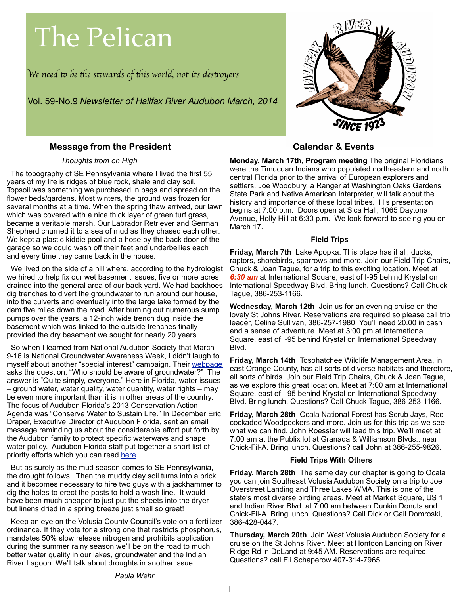# The Pelican

W*e need* " *be* #*e s*\$*wards of* #*is world, not its des*%*oyer*s

Vol. 59-No.9 *Newsletter of Halifax River Audubon March, 2014*

## **Message from the President**

#### *Thoughts from on High*

 The topography of SE Pennsylvania where I lived the first 55 years of my life is ridges of blue rock, shale and clay soil. Topsoil was something we purchased in bags and spread on the flower beds/gardens. Most winters, the ground was frozen for several months at a time. When the spring thaw arrived, our lawn which was covered with a nice thick layer of green turf grass, became a veritable marsh. Our Labrador Retriever and German Shepherd churned it to a sea of mud as they chased each other. We kept a plastic kiddie pool and a hose by the back door of the garage so we could wash off their feet and underbellies each and every time they came back in the house.

 We lived on the side of a hill where, according to the hydrologist we hired to help fix our wet basement issues, five or more acres drained into the general area of our back yard. We had backhoes dig trenches to divert the groundwater to run around our house, into the culverts and eventually into the large lake formed by the dam five miles down the road. After burning out numerous sump pumps over the years, a 12-inch wide trench dug inside the basement which was linked to the outside trenches finally provided the dry basement we sought for nearly 20 years.

 So when I learned from National Audubon Society that March 9-16 is National Groundwater Awareness Week, I didn't laugh to myself about another "special interest" campaign. Their [webpage](http://www.ngwa.org/Events-Education/awareness/Pages/default.aspx) asks the question, "Who should be aware of groundwater?" The answer is "Quite simply, everyone." Here in Florida, water issues – ground water, water quality, water quantity, water rights – may be even more important than it is in other areas of the country. The focus of Audubon Florida's 2013 Conservation Action Agenda was "Conserve Water to Sustain Life." In December Eric Draper, Executive Director of Audubon Florida, sent an email message reminding us about the considerable effort put forth by the Audubon family to protect specific waterways and shape water policy. Audubon Florida staff put together a short list of priority efforts which you can read [here.](http://www.ngwa.org/Events-Education/awareness/Pages/default.aspx)

 But as surely as the mud season comes to SE Pennsylvania, the drought follows. Then the muddy clay soil turns into a brick and it becomes necessary to hire two guys with a jackhammer to dig the holes to erect the posts to hold a wash line. It would have been much cheaper to just put the sheets into the dryer – but linens dried in a spring breeze just smell so great!

 Keep an eye on the Volusia County Council's vote on a fertilizer ordinance. If they vote for a strong one that restricts phosphorus, mandates 50% slow release nitrogen and prohibits application during the summer rainy season we'll be on the road to much better water quality in our lakes, groundwater and the Indian River Lagoon. We'll talk about droughts in another issue.

**Monday, March 17th, Program meeting** The original Floridians were the Timucuan Indians who populated northeastern and north central Florida prior to the arrival of European explorers and settlers. Joe Woodbury, a Ranger at Washington Oaks Gardens State Park and Native American Interpreter, will talk about the history and importance of these local tribes. His presentation begins at 7:00 p.m. Doors open at Sica Hall, 1065 Daytona Avenue, Holly Hill at 6:30 p.m. We look forward to seeing you on March 17.

 **Calendar & Events**

#### **Field Trips**

**Friday, March 7th** Lake Apopka. This place has it all, ducks, raptors, shorebirds, sparrows and more. Join our Field Trip Chairs, Chuck & Joan Tague, for a trip to this exciting location. Meet at *6:30 am* at International Square, east of I-95 behind Krystal on International Speedway Blvd. Bring lunch. Questions? Call Chuck Tague, 386-253-1166.

**Wednesday, March 12th** Join us for an evening cruise on the lovely St Johns River. Reservations are required so please call trip leader, Celine Sullivan, 386-257-1980. You'll need 20.00 in cash and a sense of adventure. Meet at 3:00 pm at International Square, east of I-95 behind Krystal on International Speedway Blvd.

**Friday, March 14th** Tosohatchee Wildlife Management Area, in east Orange County, has all sorts of diverse habitats and therefore, all sorts of birds. Join our Field Trip Chairs, Chuck & Joan Tague, as we explore this great location. Meet at 7:00 am at International Square, east of I-95 behind Krystal on International Speedway Blvd. Bring lunch. Questions? Call Chuck Tague, 386-253-1166.

**Friday, March 28th** Ocala National Forest has Scrub Jays, Redcockaded Woodpeckers and more. Join us for this trip as we see what we can find. John Roessler will lead this trip. We'll meet at 7:00 am at the Publix lot at Granada & Williamson Blvds., near Chick-Fil-A. Bring lunch. Questions? call John at 386-255-9826.

#### **Field Trips With Others**

**Friday, March 28th** The same day our chapter is going to Ocala you can join Southeast Volusia Audubon Society on a trip to Joe Overstreet Landing and Three Lakes WMA. This is one of the state's most diverse birding areas. Meet at Market Square, US 1 and Indian River Blvd. at 7:00 am between Dunkin Donuts and Chick-Fil-A. Bring lunch. Questions? Call Dick or Gail Domroski, 386-428-0447.

**Thursday, March 20th** Join West Volusia Audubon Society for a cruise on the St Johns River. Meet at Hontoon Landing on River Ridge Rd in DeLand at 9:45 AM. Reservations are required. Questions? call Eli Schaperow 407-314-7965.

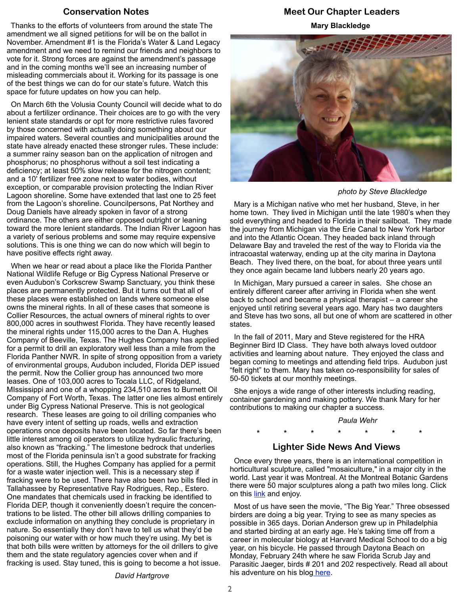#### **Conservation Notes**

 Thanks to the efforts of volunteers from around the state The amendment we all signed petitions for will be on the ballot in November. Amendment #1 is the Florida's Water & Land Legacy amendment and we need to remind our friends and neighbors to vote for it. Strong forces are against the amendment's passage and in the coming months we'll see an increasing number of misleading commercials about it. Working for its passage is one of the best things we can do for our state's future. Watch this space for future updates on how you can help.

 On March 6th the Volusia County Council will decide what to do about a fertilizer ordinance. Their choices are to go with the very lenient state standards or opt for more restrictive rules favored by those concerned with actually doing something about our impaired waters. Several counties and municipalities around the state have already enacted these stronger rules. These include: a summer rainy season ban on the application of nitrogen and phosphorus; no phosphorus without a soil test indicating a deficiency; at least 50% slow release for the nitrogen content; and a 10' fertilizer free zone next to water bodies, without exception, or comparable provision protecting the Indian River Lagoon shoreline. Some have extended that last one to 25 feet from the Lagoon's shoreline. Councilpersons, Pat Northey and Doug Daniels have already spoken in favor of a strong ordinance. The others are either opposed outright or leaning toward the more lenient standards. The Indian River Lagoon has a variety of serious problems and some may require expensive solutions. This is one thing we can do now which will begin to have positive effects right away.

 When we hear or read about a place like the Florida Panther National Wildlife Refuge or Big Cypress National Preserve or even Audubon's Corkscrew Swamp Sanctuary, you think these places are permanently protected. But it turns out that all of these places were established on lands where someone else owns the mineral rights. In all of these cases that someone is Collier Resources, the actual owners of mineral rights to over 800,000 acres in southwest Florida. They have recently leased the mineral rights under 115,000 acres to the Dan A. Hughes Company of Beeville, Texas. The Hughes Company has applied for a permit to drill an exploratory well less than a mile from the Florida Panther NWR. In spite of strong opposition from a variety of environmental groups, Audubon included, Florida DEP issued the permit. Now the Collier group has announced two more leases. One of 103,000 acres to Tocala LLC, of Ridgeland, MIssissippi and one of a whopping 234,510 acres to Burnett Oil Company of Fort Worth, Texas. The latter one lies almost entirely under Big Cypress National Preserve. This is not geological research. These leases are going to oil drilling companies who have every intent of setting up roads, wells and extraction operations once deposits have been located. So far there's been little interest among oil operators to utilize hydraulic fracturing, also known as "fracking." The limestone bedrock that underlies most of the Florida peninsula isn't a good substrate for fracking operations. Still, the Hughes Company has applied for a permit for a waste water injection well. This is a necessary step if fracking were to be used. There have also been two bills filed in Tallahassee by Representative Ray Rodrigues, Rep., Estero. One mandates that chemicals used in fracking be identified to Florida DEP, though it conveniently doesn't require the concentrations to be listed. The other bill allows drilling companies to exclude information on anything they conclude is proprietary in nature. So essentially they don't have to tell us what they'd be poisoning our water with or how much they're using. My bet is that both bills were written by attorneys for the oil drillers to give them and the state regulatory agencies cover when and if fracking is used. Stay tuned, this is going to become a hot issue.

# **Meet Our Chapter Leaders Mary Blackledge**



*photo by Steve Blackledge*

 Mary is a Michigan native who met her husband, Steve, in her home town. They lived in Michigan until the late 1980's when they sold everything and headed to Florida in their sailboat. They made the journey from Michigan via the Erie Canal to New York Harbor and into the Atlantic Ocean. They headed back inland through Delaware Bay and traveled the rest of the way to Florida via the intracoastal waterway, ending up at the city marina in Daytona Beach. They lived there, on the boat, for about three years until they once again became land lubbers nearly 20 years ago.

 In Michigan, Mary pursued a career in sales. She chose an entirely different career after arriving in Florida when she went back to school and became a physical therapist – a career she enjoyed until retiring several years ago. Mary has two daughters and Steve has two sons, all but one of whom are scattered in other states.

 In the fall of 2011, Mary and Steve registered for the HRA Beginner Bird ID Class. They have both always loved outdoor activities and learning about nature. They enjoyed the class and began coming to meetings and attending field trips. Audubon just "felt right" to them. Mary has taken co-responsibility for sales of 50-50 tickets at our monthly meetings.

 She enjoys a wide range of other interests including reading, container gardening and making pottery. We thank Mary for her contributions to making our chapter a success.

# *Paula Wehr*

# **Lighter Side News And Views**

 **\* \* \* \* \* \* \***

 Once every three years, there is an international competition in horticultural sculpture, called "mosaiculture," in a major city in the world. Last year it was Montreal. At the Montreal Botanic Gardens there were 50 major sculptures along a path two miles long. Click on this [link](http://myvirtualgarden2.blogspot.com/2013/09/mosaiculture-exhibition.html) and enjoy.

 Most of us have seen the movie, "The Big Year." Three obsessed birders are doing a big year. Trying to see as many species as possible in 365 days. Dorian Anderson grew up in Philadelphia and started birding at an early age. He's taking time off from a career in molecular biology at Harvard Medical School to do a big year, on his bicycle. He passed through Daytona Beach on Monday, February 24th where he saw Florida Scrub Jay and Parasitic Jaeger, birds # 201 and 202 respectively. Read all about his adventure on his blo[g here.](http://bikingforbirds.blogspot.com/)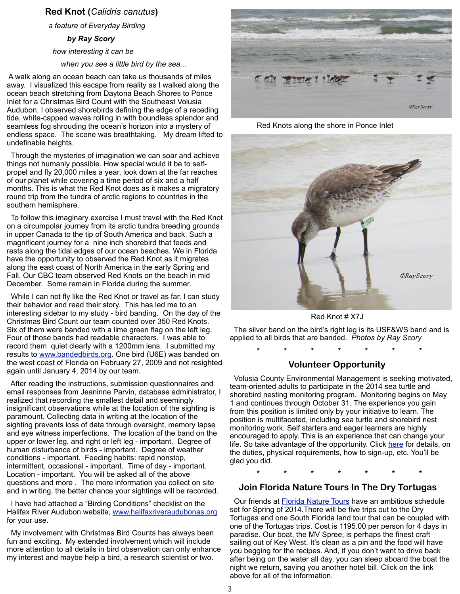#### **Red Knot (***Calidris canutus***)**

*a feature of Everyday Birding*

#### *by Ray Scory*

*how interesting it can be*

 *when you see a little bird by the sea...*

 A walk along an ocean beach can take us thousands of miles away. I visualized this escape from reality as I walked along the ocean beach stretching from Daytona Beach Shores to Ponce Inlet for a Christmas Bird Count with the Southeast Volusia Audubon. I observed shorebirds defining the edge of a receding tide, white-capped waves rolling in with boundless splendor and seamless fog shrouding the ocean's horizon into a mystery of endless space. The scene was breathtaking. My dream lifted to undefinable heights.

 Through the mysteries of imagination we can soar and achieve things not humanly possible. How special would it be to selfpropel and fly 20,000 miles a year, look down at the far reaches of our planet while covering a time period of six and a half months. This is what the Red Knot does as it makes a migratory round trip from the tundra of arctic regions to countries in the southern hemisphere.

 To follow this imaginary exercise I must travel with the Red Knot on a circumpolar journey from its arctic tundra breeding grounds in upper Canada to the tip of South America and back. Such a magnificent journey for a nine inch shorebird that feeds and rests along the tidal edges of our ocean beaches. We in Florida have the opportunity to observed the Red Knot as it migrates along the east coast of North America in the early Spring and Fall. Our CBC team observed Red Knots on the beach in mid December. Some remain in Florida during the summer.

 While I can not fly like the Red Knot or travel as far. I can study their behavior and read their story. This has led me to an interesting sidebar to my study - bird banding. On the day of the Christmas Bird Count our team counted over 350 Red Knots. Six of them were banded with a lime green flag on the left leg. Four of those bands had readable characters. I was able to record them quiet clearly with a 1200mm lens. I submitted my results to [www.bandedbirds.org.](http://www.bandedbirds.org) One bird (U6E) was banded on the west coast of Florida on February 27, 2009 and not resighted again until January 4, 2014 by our team.

 After reading the instructions, submission questionnaires and email responses from Jeaninne Parvin, database administrator, I realized that recording the smallest detail and seemingly insignificant observations while at the location of the sighting is paramount. Collecting data in writing at the location of the sighting prevents loss of data through oversight, memory lapse and eye witness imperfections. The location of the band on the upper or lower leg, and right or left leg - important. Degree of human disturbance of birds - important. Degree of weather conditions - important. Feeding habits: rapid nonstop, intermittent, occasional - important. Time of day - important. Location - important. You will be asked all of the above questions and more . The more information you collect on site and in writing, the better chance your sightings will be recorded.

 I have had attached a "Birding Conditions" checklist on the Halifax River Audubon website, [www.halifaxriveraudubonas.org](http://www.halifaxriveraudubonas.org) for your use.

 My involvement with Christmas Bird Counts has always been fun and exciting. My extended involvement which will include more attention to all details in bird observation can only enhance my interest and maybe help a bird, a research scientist or two.



Red Knots along the shore in Ponce Inlet



Red Knot # X7J

 The silver band on the bird's right leg is its USF&WS band and is applied to all birds that are banded. *Photos by Ray Scory*

**\* \* \* \* \* \* \***

#### **Volunteer Opportunity**

 Volusia County Environmental Management is seeking motivated, team-oriented adults to participate in the 2014 sea turtle and shorebird nesting monitoring program. Monitoring begins on May 1 and continues through October 31. The experience you gain from this position is limited only by your initiative to learn. The position is multifaceted, including sea turtle and shorebird nest monitoring work. Self starters and eager learners are highly encouraged to apply. This is an experience that can change your life. So take advantage of the opportunity. Click [here](http://www.halifaxriveras.org/Summer%20Volunteers%20Volusia%20County%202014.pdf) for details, on the duties, physical requirements, how to sign-up, etc. You'll be glad you did.

**\* \* \* \* \* \* \***

#### **Join Florida Nature Tours In The Dry Tortugas**

Our friends at **Florida Nature Tours** have an ambitious schedule set for Spring of 2014.There will be five trips out to the Dry Tortugas and one South Florida land tour that can be coupled with one of the Tortugas trips. Cost is 1195.00 per person for 4 days in paradise. Our boat, the MV Spree, is perhaps the finest craft sailing out of Key West. It's clean as a pin and the food will have you begging for the recipes. And, if you don't want to drive back after being on the water all day, you can sleep aboard the boat the night we return, saving you another hotel bill. Click on the link above for all of the information.